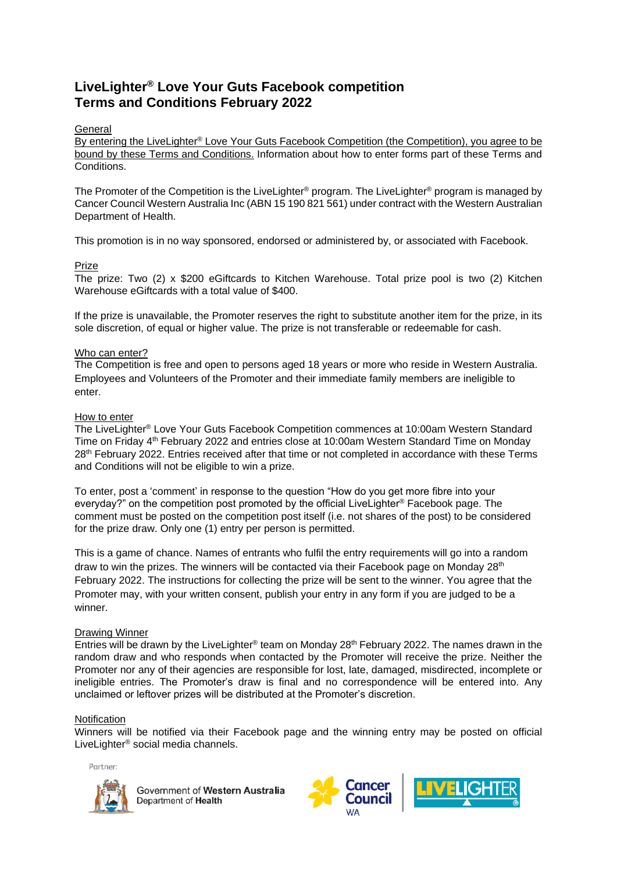# **LiveLighter® Love Your Guts Facebook competition Terms and Conditions February 2022**

# **General**

By entering the LiveLighter® Love Your Guts Facebook Competition (the Competition), you agree to be bound by these Terms and Conditions. Information about how to enter forms part of these Terms and Conditions.

The Promoter of the Competition is the LiveLighter® program. The LiveLighter® program is managed by Cancer Council Western Australia Inc (ABN 15 190 821 561) under contract with the Western Australian Department of Health.

This promotion is in no way sponsored, endorsed or administered by, or associated with Facebook.

# Prize

The prize: Two (2) x \$200 eGiftcards to Kitchen Warehouse. Total prize pool is two (2) Kitchen Warehouse eGiftcards with a total value of \$400.

If the prize is unavailable, the Promoter reserves the right to substitute another item for the prize, in its sole discretion, of equal or higher value. The prize is not transferable or redeemable for cash.

### Who can enter?

The Competition is free and open to persons aged 18 years or more who reside in Western Australia. Employees and Volunteers of the Promoter and their immediate family members are ineligible to enter.

### How to enter

The LiveLighter® Love Your Guts Facebook Competition commences at 10:00am Western Standard Time on Friday 4th February 2022 and entries close at 10:00am Western Standard Time on Monday 28<sup>th</sup> February 2022. Entries received after that time or not completed in accordance with these Terms and Conditions will not be eligible to win a prize.

To enter, post a 'comment' in response to the question "How do you get more fibre into your everyday?" on the competition post promoted by the official LiveLighter® Facebook page. The comment must be posted on the competition post itself (i.e. not shares of the post) to be considered for the prize draw. Only one (1) entry per person is permitted.

This is a game of chance. Names of entrants who fulfil the entry requirements will go into a random draw to win the prizes. The winners will be contacted via their Facebook page on Monday  $28<sup>th</sup>$ February 2022. The instructions for collecting the prize will be sent to the winner. You agree that the Promoter may, with your written consent, publish your entry in any form if you are judged to be a winner.

### Drawing Winner

Entries will be drawn by the LiveLighter<sup>®</sup> team on Monday 28<sup>th</sup> February 2022. The names drawn in the random draw and who responds when contacted by the Promoter will receive the prize. Neither the Promoter nor any of their agencies are responsible for lost, late, damaged, misdirected, incomplete or ineligible entries. The Promoter's draw is final and no correspondence will be entered into. Any unclaimed or leftover prizes will be distributed at the Promoter's discretion.

### **Notification**

Winners will be notified via their Facebook page and the winning entry may be posted on official LiveLighter® social media channels.

Partner:



Government of Western Australia Department of Health